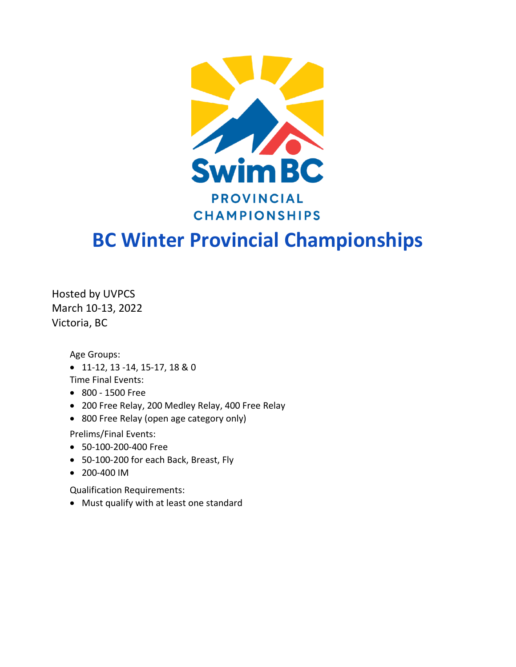

# **BC Winter Provincial Championships**

Hosted by UVPCS March 10-13, 2022 Victoria, BC

Age Groups:

• 11-12, 13 -14, 15-17, 18 & 0

Time Final Events:

- 800 1500 Free
- 200 Free Relay, 200 Medley Relay, 400 Free Relay
- 800 Free Relay (open age category only)

Prelims/Final Events:

- 50-100-200-400 Free
- 50-100-200 for each Back, Breast, Fly
- 200-400 IM

Qualification Requirements:

• Must qualify with at least one standard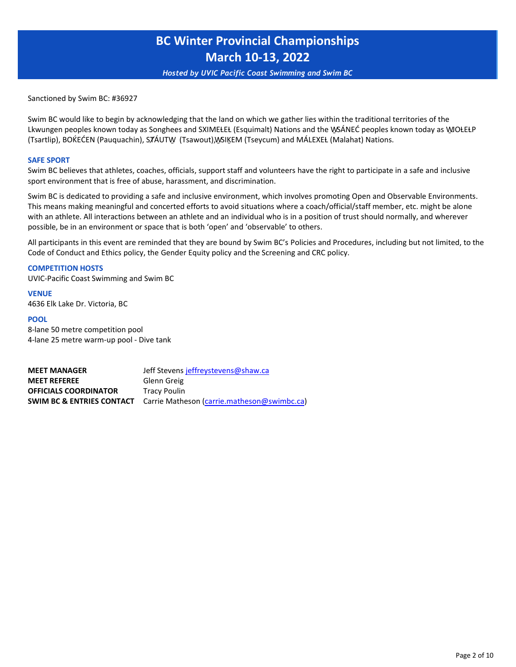*Hosted by UVIC Pacific Coast Swimming and Swim BC*

Sanctioned by Swim BC: #36927

Swim BC would like to begin by acknowledging that the land on which we gather lies within the traditional territories of the Lkwungen peoples known today as Songhees and SXIMEŁEŁ (Esquimalt) Nations and the WSÁNEĆ peoples known today as WOŁEŁP (Tsartlip), BOḰEĆEN (Pauquachin), SȾÁUTW̱ (Tsawout), W̱SIḴEM (Tseycum) and MÁLEXEȽ (Malahat) Nations.

#### **SAFE SPORT**

Swim BC believes that athletes, coaches, officials, support staff and volunteers have the right to participate in a safe and inclusive sport environment that is free of abuse, harassment, and discrimination.

Swim BC is dedicated to providing a safe and inclusive environment, which involves promoting Open and Observable Environments. This means making meaningful and concerted efforts to avoid situations where a coach/official/staff member, etc. might be alone with an athlete. All interactions between an athlete and an individual who is in a position of trust should normally, and wherever possible, be in an environment or space that is both 'open' and 'observable' to others.

All participants in this event are reminded that they are bound by Swim BC's Policies and Procedures, including but not limited, to the Code of Conduct and Ethics policy, the Gender Equity policy and the Screening and CRC policy.

#### **COMPETITION HOSTS**

UVIC-Pacific Coast Swimming and Swim BC

**VENUE**  4636 Elk Lake Dr. Victoria, BC

#### **POOL**

8-lane 50 metre competition pool 4-lane 25 metre warm-up pool - Dive tank

**MEET MANAGER** Jeff Stevens [jeffreystevens@shaw.ca](mailto:jeffreystevens@shaw.ca) **[MEET REFEREE](mailto:jeffreystevens@shaw.ca)** Glenn Greig **OFFICIALS COORDINATOR** Tracy Poulin **SWIM BC & ENTRIES CONTACT** Carrie Matheson [\(carrie.matheson@swimbc.ca\)](mailto:carrie.matheson@swimbc.ca)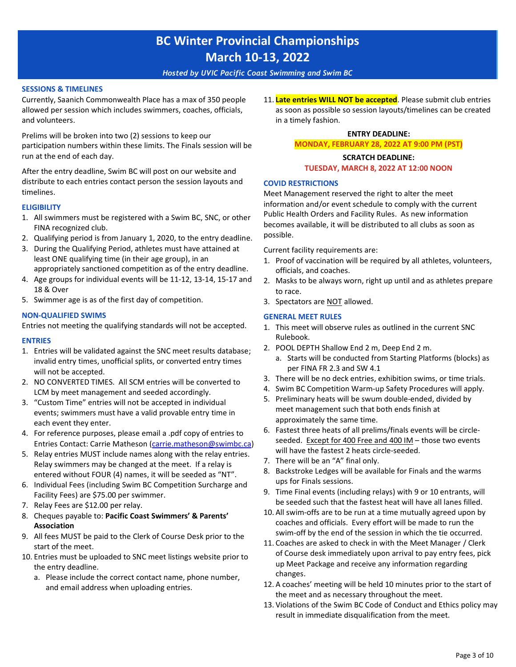*Hosted by UVIC Pacific Coast Swimming and Swim BC*

#### **[SESSIONS &](mailto:carrie.matheson@swimbc.ca) TIMELINES**

Currently, Saanich Commonwealth Place has a max of 350 people allowed per session which includes swimmers, coaches, officials, and volunteers.

Prelims will be broken into two (2) sessions to keep our participation numbers within these limits. The Finals session will be run at the end of each day.

After the entry deadline, Swim BC will post on our website and distribute to each entries contact person the session layouts and timelines.

#### **ELIGIBILITY**

- 1. All swimmers must be registered with a Swim BC, SNC, or other FINA recognized club.
- 2. Qualifying period is from January 1, 2020, to the entry deadline.
- 3. During the Qualifying Period, athletes must have attained at least ONE qualifying time (in their age group), in an appropriately sanctioned competition as of the entry deadline.
- 4. Age groups for individual events will be 11-12, 13-14, 15-17 and 18 & Over
- 5. Swimmer age is as of the first day of competition.

#### **NON-QUALIFIED SWIMS**

Entries not meeting the qualifying standards will not be accepted.

#### **ENTRIES**

- 1. Entries will be validated against the SNC meet results database; invalid entry times, unofficial splits, or converted entry times will not be accepted.
- 2. NO CONVERTED TIMES. All SCM entries will be converted to LCM by meet management and seeded accordingly.
- 3. "Custom Time" entries will not be accepted in individual events; swimmers must have a valid provable entry time in each event they enter.
- 4. For reference purposes, please email a .pdf copy of entries to Entries Contact: Carrie Matheson [\(carrie.matheson@swimbc.ca\)](mailto:carrie.matheson@swimbc.ca)
- 5. [Relay entries](mailto:carrie.matheson@swimbc.ca) MUST include names along with the relay entries. Relay swimmers may be changed at the meet. If a relay is entered without FOUR (4) names, it will be seeded as "NT".
- 6. Individual Fees (including Swim BC Competition Surcharge and Facility Fees) are \$75.00 per swimmer.
- 7. Relay Fees are \$12.00 per relay.
- 8. Cheques payable to: **Pacific Coast Swimmers' & Parents' Association**
- 9. All fees MUST be paid to the Clerk of Course Desk prior to the start of the meet.
- 10. Entries must be uploaded to SNC meet listings website prior to the entry deadline.
	- a. Please include the correct contact name, phone number, and email address when uploading entries.

11. **Late entries WILL NOT be accepted**. Please submit club entries as soon as possible so session layouts/timelines can be created in a timely fashion.

#### **ENTRY DEADLINE:**

**MONDAY, FEBRUARY 28, 2022 AT 9:00 PM (PST)**

#### **SCRATCH DEADLINE: TUESDAY, MARCH 8, 2022 AT 12:00 NOON**

#### **COVID RESTRICTIONS**

Meet Management reserved the right to alter the meet information and/or event schedule to comply with the current Public Health Orders and Facility Rules. As new information becomes available, it will be distributed to all clubs as soon as possible.

Current facility requirements are:

- 1. Proof of vaccination will be required by all athletes, volunteers, officials, and coaches.
- 2. Masks to be always worn, right up until and as athletes prepare to race.
- 3. Spectators are NOT allowed.

#### **GENERAL MEET RULES**

- 1. This meet will observe rules as outlined in the current SNC Rulebook.
- 2. POOL DEPTH Shallow End 2 m, Deep End 2 m. a. Starts will be conducted from Starting Platforms (blocks) as per FINA FR 2.3 and SW 4.1
- 3. There will be no deck entries, exhibition swims, or time trials.
- 4. Swim BC Competition Warm-up Safety Procedures will apply.
- 5. Preliminary heats will be swum double-ended, divided by meet management such that both ends finish at approximately the same time.
- 6. Fastest three heats of all prelims/finals events will be circleseeded. Except for 400 Free and 400 IM – those two events will have the fastest 2 heats circle-seeded.
- 7. There will be an "A" final only.
- 8. Backstroke Ledges will be available for Finals and the warms ups for Finals sessions.
- 9. Time Final events (including relays) with 9 or 10 entrants, will be seeded such that the fastest heat will have all lanes filled.
- 10. All swim-offs are to be run at a time mutually agreed upon by coaches and officials. Every effort will be made to run the swim-off by the end of the session in which the tie occurred.
- 11. Coaches are asked to check in with the Meet Manager / Clerk of Course desk immediately upon arrival to pay entry fees, pick up Meet Package and receive any information regarding changes.
- 12. A coaches' meeting will be held 10 minutes prior to the start of the meet and as necessary throughout the meet.
- 13. Violations of the Swim BC Code of Conduct and Ethics policy may result in immediate disqualification from the meet.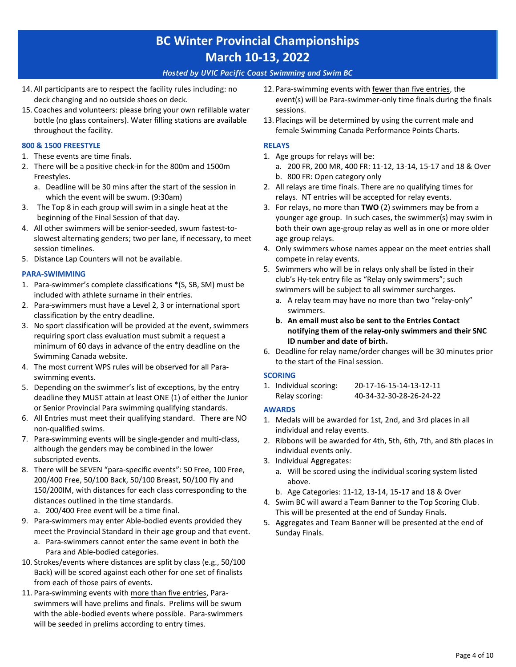#### *Hosted by UVIC Pacific Coast Swimming and Swim BC*

- 14. All participants are to respect the facility rules including: no deck changing and no outside shoes on deck.
- 15. Coaches and volunteers: please bring your own refillable water bottle (no glass containers). Water filling stations are available throughout the facility.

#### **800 & 1500 FREESTYLE**

- 1. These events are time finals.
- 2. There will be a positive check-in for the 800m and 1500m Freestyles.
	- a. Deadline will be 30 mins after the start of the session in which the event will be swum. (9:30am)
- 3. The Top 8 in each group will swim in a single heat at the beginning of the Final Session of that day.
- 4. All other swimmers will be senior-seeded, swum fastest-toslowest alternating genders; two per lane, if necessary, to meet session timelines.
- 5. Distance Lap Counters will not be available.

#### **PARA-SWIMMING**

- 1. Para-swimmer's complete classifications \*(S, SB, SM) must be included with athlete surname in their entries.
- 2. Para-swimmers must have a Level 2, 3 or international sport classification by the entry deadline.
- 3. No sport classification will be provided at the event, swimmers requiring sport class evaluation must submit a request a minimum of 60 days in advance of the entry deadline on the Swimming Canada website.
- 4. The most current WPS rules will be observed for all Paraswimming events.
- 5. Depending on the swimmer's list of exceptions, by the entry deadline they MUST attain at least ONE (1) of either the Junior or Senior Provincial Para swimming qualifying standards.
- 6. All Entries must meet their qualifying standard. There are NO non-qualified swims.
- 7. Para-swimming events will be single-gender and multi-class, although the genders may be combined in the lower subscripted events.
- 8. There will be SEVEN "para-specific events": 50 Free, 100 Free, 200/400 Free, 50/100 Back, 50/100 Breast, 50/100 Fly and 150/200IM, with distances for each class corresponding to the distances outlined in the time standards.
	- a. 200/400 Free event will be a time final.
- 9. Para-swimmers may enter Able-bodied events provided they meet the Provincial Standard in their age group and that event.
	- a. Para-swimmers cannot enter the same event in both the Para and Able-bodied categories.
- 10. Strokes/events where distances are split by class (e.g., 50/100 Back) will be scored against each other for one set of finalists from each of those pairs of events.
- 11. Para-swimming events with more than five entries, Paraswimmers will have prelims and finals. Prelims will be swum with the able-bodied events where possible. Para-swimmers will be seeded in prelims according to entry times.
- 12. Para-swimming events with fewer than five entries, the event(s) will be Para-swimmer-only time finals during the finals sessions.
- 13. Placings will be determined by using the current male and female Swimming Canada Performance Points Charts.

#### **RELAYS**

- 1. Age groups for relays will be:
- a. 200 FR, 200 MR, 400 FR: 11-12, 13-14, 15-17 and 18 & Over b. 800 FR: Open category only
- 2. All relays are time finals. There are no qualifying times for relays. NT entries will be accepted for relay events.
- 3. For relays, no more than **TWO** (2) swimmers may be from a younger age group. In such cases, the swimmer(s) may swim in both their own age-group relay as well as in one or more older age group relays.
- 4. Only swimmers whose names appear on the meet entries shall compete in relay events.
- 5. Swimmers who will be in relays only shall be listed in their club's Hy-tek entry file as "Relay only swimmers"; such swimmers will be subject to all swimmer surcharges.
	- a. A relay team may have no more than two "relay-only" swimmers.
	- **b. An email must also be sent to the Entries Contact notifying them of the relay-only swimmers and their SNC ID number and date of birth.**
- 6. Deadline for relay name/order changes will be 30 minutes prior to the start of the Final session.

#### **SCORING**

1. Individual scoring: 20-17-16-15-14-13-12-11 Relay scoring: 40-34-32-30-28-26-24-22

#### **AWARDS**

- 1. Medals will be awarded for 1st, 2nd, and 3rd places in all individual and relay events.
- 2. Ribbons will be awarded for 4th, 5th, 6th, 7th, and 8th places in individual events only.
- 3. Individual Aggregates:
	- a. Will be scored using the individual scoring system listed above.
	- b. Age Categories: 11-12, 13-14, 15-17 and 18 & Over
- 4. Swim BC will award a Team Banner to the Top Scoring Club. This will be presented at the end of Sunday Finals.
- 5. Aggregates and Team Banner will be presented at the end of Sunday Finals.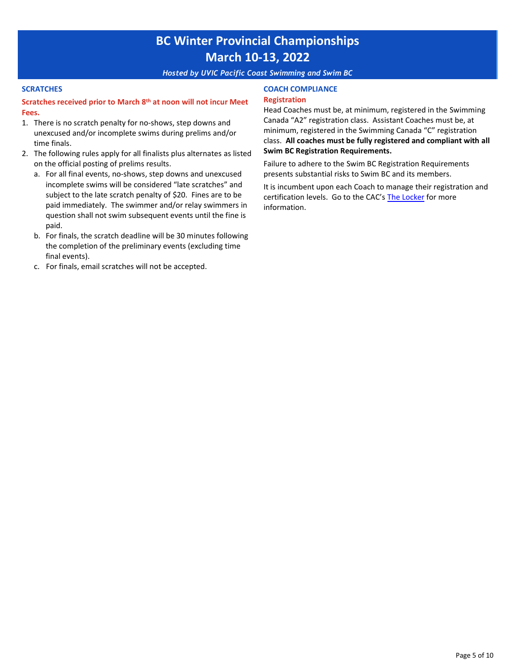*Hosted by UVIC Pacific Coast Swimming and Swim BC*

#### **SCRATCHES**

#### **Scratches received prior to March 8th at noon will not incur Meet Fees.**

- 1. There is no scratch penalty for no-shows, step downs and unexcused and/or incomplete swims during prelims and/or time finals.
- 2. The following rules apply for all finalists plus alternates as listed on the official posting of prelims results.
	- a. For all final events, no-shows, step downs and unexcused incomplete swims will be considered "late scratches" and subject to the late scratch penalty of \$20. Fines are to be paid immediately. The swimmer and/or relay swimmers in question shall not swim subsequent events until the fine is paid.
	- b. For finals, the scratch deadline will be 30 minutes following the completion of the preliminary events (excluding time final events).
	- c. For finals, email scratches will not be accepted.

#### **COACH COMPLIANCE Registration**

Head Coaches must be, at minimum, registered in the Swimming Canada "A2" registration class. Assistant Coaches must be, at minimum, registered in the Swimming Canada "C" registration class. **All coaches must be fully registered and compliant with all Swim BC Registration Requirements.**

Failure to adhere to the Swim BC Registration Requirements presents substantial risks to Swim BC and its members.

It is incumbent upon each Coach to manage their registration and certification levels. Go to the CAC's [The Locker](https://thelocker.coach.ca/account/login?mode=login) [for more](https://thelocker.coach.ca/account/login?mode=login) information.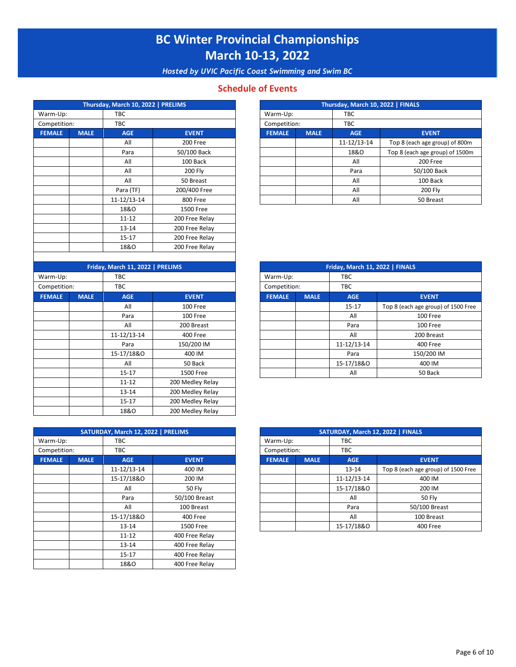*Hosted by UVIC Pacific Coast Swimming and Swim BC*

### **Schedule of Events**

|               |             | Thursday, March 10, 2022   PRELIMS |                |                        |             | Thursday, March 10, 2022   FINALS |
|---------------|-------------|------------------------------------|----------------|------------------------|-------------|-----------------------------------|
| Warm-Up:      |             | TBC                                |                | Warm-Up:<br><b>TBC</b> |             |                                   |
| Competition:  |             | <b>TBC</b>                         |                | Competition:           |             | <b>TBC</b>                        |
| <b>FEMALE</b> | <b>MALE</b> | <b>AGE</b>                         | <b>EVENT</b>   | <b>FEMALE</b>          | <b>MALE</b> | <b>AGE</b>                        |
|               |             | All                                | 200 Free       |                        |             | 11-12/13-14                       |
|               |             | Para                               | 50/100 Back    |                        |             | 18&0                              |
|               |             | All                                | 100 Back       |                        |             | All                               |
|               |             | All                                | <b>200 Fly</b> |                        |             | Para                              |
|               |             | All                                | 50 Breast      |                        |             | All                               |
|               |             | Para (TF)                          | 200/400 Free   |                        |             | All                               |
|               |             | 11-12/13-14                        | 800 Free       |                        |             | All                               |
|               |             | 18&0                               | 1500 Free      |                        |             |                                   |
|               |             | $11 - 12$                          | 200 Free Relay |                        |             |                                   |
|               |             | 13-14                              | 200 Free Relay |                        |             |                                   |
|               |             | $15 - 17$                          | 200 Free Relay |                        |             |                                   |
|               |             | 18&0                               | 200 Free Relay |                        |             |                                   |

| Friday, March 11, 2022   PRELIMS |             |             |                  |                        | Friday, March 11, 2022   FINALS |             |                       |
|----------------------------------|-------------|-------------|------------------|------------------------|---------------------------------|-------------|-----------------------|
| Warm-Up:                         |             | TBC         |                  | Warm-Up:<br><b>TBC</b> |                                 |             |                       |
| Competition:                     |             | <b>TBC</b>  |                  | Competition:           |                                 | <b>TBC</b>  |                       |
| <b>FEMALE</b>                    | <b>MALE</b> | <b>AGE</b>  | <b>EVENT</b>     | <b>FEMALE</b>          | <b>MALE</b>                     | <b>AGE</b>  | <b>EVENT</b>          |
|                                  |             | All         | 100 Free         |                        |                                 | $15 - 17$   | Top 8 (each age group |
|                                  |             | Para        | 100 Free         |                        |                                 | All         | 100 Fre               |
|                                  |             | All         | 200 Breast       |                        |                                 | Para        | 100 Fre               |
|                                  |             | 11-12/13-14 | 400 Free         |                        |                                 | All         | 200 Brea              |
|                                  |             | Para        | 150/200 IM       |                        |                                 | 11-12/13-14 | 400 Fre               |
|                                  |             | 15-17/18&0  | 400 IM           |                        |                                 | Para        | 150/200               |
|                                  |             | All         | 50 Back          |                        |                                 | 15-17/18&0  | 400 IM                |
|                                  |             | $15 - 17$   | 1500 Free        |                        |                                 | All         | 50 Back               |
|                                  |             | $11 - 12$   | 200 Medley Relay |                        |                                 |             |                       |
|                                  |             | $13 - 14$   | 200 Medley Relay |                        |                                 |             |                       |
|                                  |             | $15 - 17$   | 200 Medley Relay |                        |                                 |             |                       |
|                                  |             | 18&0        | 200 Medley Relay |                        |                                 |             |                       |

|               |             | SATURDAY, March 12, 2022   PRELIMS |                |                        |             | SATURDAY, March 12, 2022   FINALS |                       |
|---------------|-------------|------------------------------------|----------------|------------------------|-------------|-----------------------------------|-----------------------|
| Warm-Up:      |             | <b>TBC</b>                         |                | <b>TBC</b><br>Warm-Up: |             |                                   |                       |
| Competition:  |             | TBC                                |                | Competition:           | <b>TBC</b>  |                                   |                       |
| <b>FEMALE</b> | <b>MALE</b> | <b>AGE</b>                         | <b>EVENT</b>   | <b>FEMALE</b>          | <b>MALE</b> | <b>AGE</b>                        |                       |
|               |             | 11-12/13-14                        | 400 IM         |                        |             | $13 - 14$                         | Top 8 (each age group |
|               |             | 15-17/18&0                         | 200 IM         |                        |             | 11-12/13-14                       |                       |
|               |             | All                                | <b>50 Fly</b>  |                        |             | 15-17/18&0                        |                       |
|               |             | Para                               | 50/100 Breast  |                        |             | All                               |                       |
|               |             | All                                | 100 Breast     |                        |             | Para                              |                       |
|               |             | 15-17/18&0                         | 400 Free       |                        |             | All                               |                       |
|               |             | $13 - 14$                          | 1500 Free      |                        |             | 15-17/18&0                        |                       |
|               |             | $11 - 12$                          | 400 Free Relay |                        |             |                                   |                       |
|               |             | $13 - 14$                          | 400 Free Relay |                        |             |                                   |                       |
|               |             | $15 - 17$                          | 400 Free Relay |                        |             |                                   |                       |
|               |             | 18&0                               | 400 Free Relay |                        |             |                                   |                       |

| Thursday, March 10, 2022   FINALS |  |  |  |  |  |
|-----------------------------------|--|--|--|--|--|
|                                   |  |  |  |  |  |
|                                   |  |  |  |  |  |
| <b>EVENT</b>                      |  |  |  |  |  |
| Top 8 (each age group) of 800m    |  |  |  |  |  |
| Top 8 (each age group) of 1500m   |  |  |  |  |  |
| 200 Free                          |  |  |  |  |  |
| 50/100 Back                       |  |  |  |  |  |
| 100 Back                          |  |  |  |  |  |
| 200 Fly                           |  |  |  |  |  |
| 50 Breast                         |  |  |  |  |  |
|                                   |  |  |  |  |  |

|     | Friday, March 11, 2022   PRELIMS |              | Friday, March 11, 2022   FINALS |             |             |                                     |  |  |  |
|-----|----------------------------------|--------------|---------------------------------|-------------|-------------|-------------------------------------|--|--|--|
|     | TBC                              |              | Warm-Up:                        |             | <b>TBC</b>  |                                     |  |  |  |
|     | <b>TBC</b>                       |              | Competition:                    |             | <b>TBC</b>  |                                     |  |  |  |
| LE. | <b>AGE</b>                       | <b>EVENT</b> | <b>FEMALE</b>                   | <b>MALE</b> | <b>AGE</b>  | <b>EVENT</b>                        |  |  |  |
|     | All                              | 100 Free     |                                 |             | $15 - 17$   | Top 8 (each age group) of 1500 Free |  |  |  |
|     | Para                             | 100 Free     |                                 |             | All         | 100 Free                            |  |  |  |
|     | All                              | 200 Breast   |                                 |             | Para        | 100 Free                            |  |  |  |
|     | 11-12/13-14                      | 400 Free     |                                 |             | All         | 200 Breast                          |  |  |  |
|     | Para                             | 150/200 IM   |                                 |             | 11-12/13-14 | 400 Free                            |  |  |  |
|     | 15-17/18&0                       | 400 IM       |                                 |             | Para        | 150/200 IM                          |  |  |  |
|     | All                              | 50 Back      |                                 |             | 15-17/18&0  | 400 IM                              |  |  |  |
|     | $15 - 17$                        | 1500 Free    |                                 |             | All         | 50 Back                             |  |  |  |

|            | SATURDAY, March 12, 2022   PRELIMS |               | SATURDAY, March 12, 2022   FINALS |             |             |                                     |  |  |
|------------|------------------------------------|---------------|-----------------------------------|-------------|-------------|-------------------------------------|--|--|
|            | <b>TBC</b>                         |               | Warm-Up:                          |             | <b>TBC</b>  |                                     |  |  |
| TBC        |                                    |               | Competition:                      |             | <b>TBC</b>  |                                     |  |  |
| <b>ALE</b> | <b>AGE</b>                         | <b>EVENT</b>  | <b>FEMALE</b>                     | <b>MALE</b> | <b>AGE</b>  | <b>EVENT</b>                        |  |  |
|            | 11-12/13-14                        | 400 IM        |                                   |             | $13 - 14$   | Top 8 (each age group) of 1500 Free |  |  |
|            | 15-17/18&0                         | 200 IM        |                                   |             | 11-12/13-14 | 400 IM                              |  |  |
|            | All                                | <b>50 Fly</b> |                                   |             | 15-17/18&0  | 200 IM                              |  |  |
|            | Para                               | 50/100 Breast |                                   |             | All         | <b>50 Fly</b>                       |  |  |
|            | All                                | 100 Breast    |                                   |             | Para        | 50/100 Breast                       |  |  |
|            | 15-17/18&0                         | 400 Free      |                                   |             | All         | 100 Breast                          |  |  |
|            | 13-14                              | 1500 Free     |                                   |             | 15-17/18&0  | 400 Free                            |  |  |
|            |                                    |               |                                   |             |             |                                     |  |  |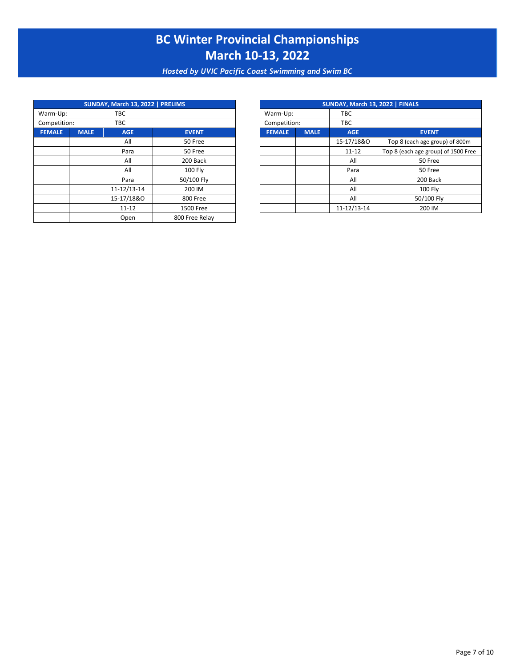*Hosted by UVIC Pacific Coast Swimming and Swim BC*

|                 |             | SUNDAY, March 13, 2022   PRELIMS |                |  |               |             | SUNDAY, March 13, 2022   FINALS |                       |
|-----------------|-------------|----------------------------------|----------------|--|---------------|-------------|---------------------------------|-----------------------|
| Warm-Up:<br>TBC |             |                                  |                |  | Warm-Up:      |             | <b>TBC</b>                      |                       |
| Competition:    |             | TBC                              |                |  | Competition:  |             | TBC                             |                       |
| <b>FEMALE</b>   | <b>MALE</b> | <b>AGE</b>                       | <b>EVENT</b>   |  | <b>FEMALE</b> | <b>MALE</b> | <b>AGE</b>                      | <b>EVENT</b>          |
|                 |             | All                              | 50 Free        |  |               |             | 15-17/18&0                      | Top 8 (each age gro   |
|                 |             | Para                             | 50 Free        |  |               |             | $11 - 12$                       | Top 8 (each age group |
|                 |             | All                              | 200 Back       |  |               |             | All                             | 50 Free               |
|                 |             | All                              | 100 Fly        |  |               |             | Para                            | 50 Free               |
|                 |             | Para                             | 50/100 Fly     |  |               |             | All                             | 200 Bac               |
|                 |             | 11-12/13-14                      | 200 IM         |  |               |             | All                             | 100 Fly               |
|                 |             | 15-17/18&0                       | 800 Free       |  |               |             | All                             | 50/100 F              |
|                 |             | $11 - 12$                        | 1500 Free      |  |               |             | 11-12/13-14                     | 200 IM                |
|                 |             | Open                             | 800 Free Relay |  |               |             |                                 |                       |

|            |             | SUNDAY, March 13, 2022   PRELIMS<br>SUNDAY, March 13, 2022   FINALS |  |               |             |             |                                     |  |
|------------|-------------|---------------------------------------------------------------------|--|---------------|-------------|-------------|-------------------------------------|--|
|            | <b>TBC</b>  |                                                                     |  | Warm-Up:      |             | <b>TBC</b>  |                                     |  |
|            | <b>TBC</b>  |                                                                     |  | Competition:  |             | <b>TBC</b>  |                                     |  |
| <b>ALE</b> | <b>AGE</b>  | <b>EVENT</b>                                                        |  | <b>FEMALE</b> | <b>MALE</b> | <b>AGE</b>  | <b>EVENT</b>                        |  |
|            | All         | 50 Free                                                             |  |               |             | 15-17/18&0  | Top 8 (each age group) of 800m      |  |
|            | Para        | 50 Free                                                             |  |               |             | $11 - 12$   | Top 8 (each age group) of 1500 Free |  |
|            | All         | 200 Back                                                            |  |               |             | All         | 50 Free                             |  |
|            | All         | <b>100 Flv</b>                                                      |  |               |             | Para        | 50 Free                             |  |
|            | Para        | 50/100 Fly                                                          |  |               |             | All         | 200 Back                            |  |
|            | 11-12/13-14 | 200 IM                                                              |  |               |             | All         | <b>100 Fly</b>                      |  |
|            | 15-17/18&0  | 800 Free                                                            |  |               |             | All         | 50/100 Fly                          |  |
|            | $11 - 12$   | 1500 Free                                                           |  |               |             | 11-12/13-14 | 200 IM                              |  |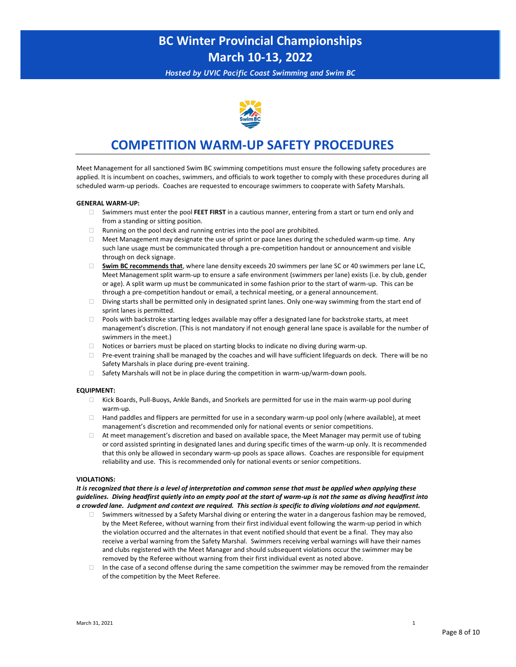*Hosted by UVIC Pacific Coast Swimming and Swim BC*



### **COMPETITION WARM-UP SAFETY PROCEDURES**

Meet Management for all sanctioned Swim BC swimming competitions must ensure the following safety procedures are applied. It is incumbent on coaches, swimmers, and officials to work together to comply with these procedures during all scheduled warm-up periods. Coaches are requested to encourage swimmers to cooperate with Safety Marshals.

#### **GENERAL WARM-UP:**

- Swimmers must enter the pool **FEET FIRST** in a cautious manner, entering from a start or turn end only and from a standing or sitting position.
- $\Box$  Running on the pool deck and running entries into the pool are prohibited.
- $\Box$  Meet Management may designate the use of sprint or pace lanes during the scheduled warm-up time. Any such lane usage must be communicated through a pre-competition handout or announcement and visible through on deck signage.
- **Swim BC recommends that**, where lane density exceeds 20 swimmers per lane SC or 40 swimmers per lane LC, Meet Management split warm-up to ensure a safe environment (swimmers per lane) exists (i.e. by club, gender or age). A split warm up must be communicated in some fashion prior to the start of warm-up. This can be through a pre-competition handout or email, a technical meeting, or a general announcement.
- $\Box$  Diving starts shall be permitted only in designated sprint lanes. Only one-way swimming from the start end of sprint lanes is permitted.
- Pools with backstroke starting ledges available may offer a designated lane for backstroke starts, at meet management's discretion. (This is not mandatory if not enough general lane space is available for the number of swimmers in the meet.)
- $\Box$  Notices or barriers must be placed on starting blocks to indicate no diving during warm-up.
- Pre-event training shall be managed by the coaches and will have sufficient lifeguards on deck. There will be no Safety Marshals in place during pre-event training.
- $\Box$  Safety Marshals will not be in place during the competition in warm-up/warm-down pools.

#### **EQUIPMENT:**

- Kick Boards, Pull-Buoys, Ankle Bands, and Snorkels are permitted for use in the main warm-up pool during warm-up.
- $\Box$  Hand paddles and flippers are permitted for use in a secondary warm-up pool only (where available), at meet management's discretion and recommended only for national events or senior competitions.
- $\Box$  At meet management's discretion and based on available space, the Meet Manager may permit use of tubing or cord assisted sprinting in designated lanes and during specific times of the warm-up only. It is recommended that this only be allowed in secondary warm-up pools as space allows. Coaches are responsible for equipment reliability and use. This is recommended only for national events or senior competitions.

#### **VIOLATIONS:**

*It is recognized that there is a level of interpretation and common sense that must be applied when applying these guidelines. Diving headfirst quietly into an empty pool at the start of warm-up is not the same as diving headfirst into a crowded lane. Judgment and context are required. This section is specific to diving violations and not equipment.*

- Swimmers witnessed by a Safety Marshal diving or entering the water in a dangerous fashion may be removed, by the Meet Referee, without warning from their first individual event following the warm-up period in which the violation occurred and the alternates in that event notified should that event be a final. They may also receive a verbal warning from the Safety Marshal. Swimmers receiving verbal warnings will have their names and clubs registered with the Meet Manager and should subsequent violations occur the swimmer may be removed by the Referee without warning from their first individual event as noted above.
- $\Box$  In the case of a second offense during the same competition the swimmer may be removed from the remainder of the competition by the Meet Referee.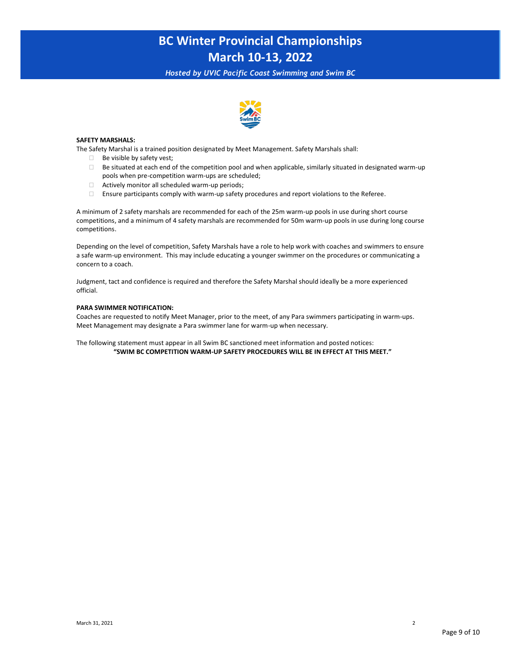*Hosted by UVIC Pacific Coast Swimming and Swim BC*



#### **SAFETY MARSHALS:**

The Safety Marshal is a trained position designated by Meet Management. Safety Marshals shall:

- $\Box$  Be visible by safety vest;
- $\Box$  Be situated at each end of the competition pool and when applicable, similarly situated in designated warm-up pools when pre-competition warm-ups are scheduled;
- $\Box$  Actively monitor all scheduled warm-up periods;
- Ensure participants comply with warm-up safety procedures and report violations to the Referee.

A minimum of 2 safety marshals are recommended for each of the 25m warm-up pools in use during short course competitions, and a minimum of 4 safety marshals are recommended for 50m warm-up pools in use during long course competitions.

Depending on the level of competition, Safety Marshals have a role to help work with coaches and swimmers to ensure a safe warm-up environment. This may include educating a younger swimmer on the procedures or communicating a concern to a coach.

Judgment, tact and confidence is required and therefore the Safety Marshal should ideally be a more experienced official.

#### **PARA SWIMMER NOTIFICATION:**

Coaches are requested to notify Meet Manager, prior to the meet, of any Para swimmers participating in warm-ups. Meet Management may designate a Para swimmer lane for warm-up when necessary.

The following statement must appear in all Swim BC sanctioned meet information and posted notices: **"SWIM BC COMPETITION WARM-UP SAFETY PROCEDURES WILL BE IN EFFECT AT THIS MEET."**